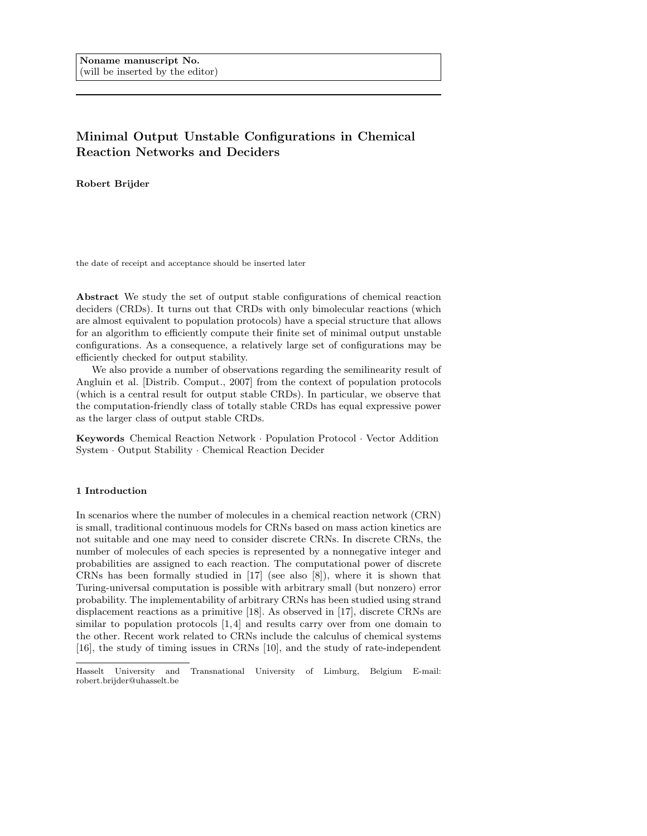# Minimal Output Unstable Configurations in Chemical Reaction Networks and Deciders

Robert Brijder

the date of receipt and acceptance should be inserted later

Abstract We study the set of output stable configurations of chemical reaction deciders (CRDs). It turns out that CRDs with only bimolecular reactions (which are almost equivalent to population protocols) have a special structure that allows for an algorithm to efficiently compute their finite set of minimal output unstable configurations. As a consequence, a relatively large set of configurations may be efficiently checked for output stability.

We also provide a number of observations regarding the semilinearity result of Angluin et al. [Distrib. Comput., 2007] from the context of population protocols (which is a central result for output stable CRDs). In particular, we observe that the computation-friendly class of totally stable CRDs has equal expressive power as the larger class of output stable CRDs.

Keywords Chemical Reaction Network · Population Protocol · Vector Addition System · Output Stability · Chemical Reaction Decider

# 1 Introduction

In scenarios where the number of molecules in a chemical reaction network (CRN) is small, traditional continuous models for CRNs based on mass action kinetics are not suitable and one may need to consider discrete CRNs. In discrete CRNs, the number of molecules of each species is represented by a nonnegative integer and probabilities are assigned to each reaction. The computational power of discrete CRNs has been formally studied in [17] (see also [8]), where it is shown that Turing-universal computation is possible with arbitrary small (but nonzero) error probability. The implementability of arbitrary CRNs has been studied using strand displacement reactions as a primitive [18]. As observed in [17], discrete CRNs are similar to population protocols  $[1, 4]$  and results carry over from one domain to the other. Recent work related to CRNs include the calculus of chemical systems [16], the study of timing issues in CRNs [10], and the study of rate-independent

Hasselt University and Transnational University of Limburg, Belgium E-mail: robert.brijder@uhasselt.be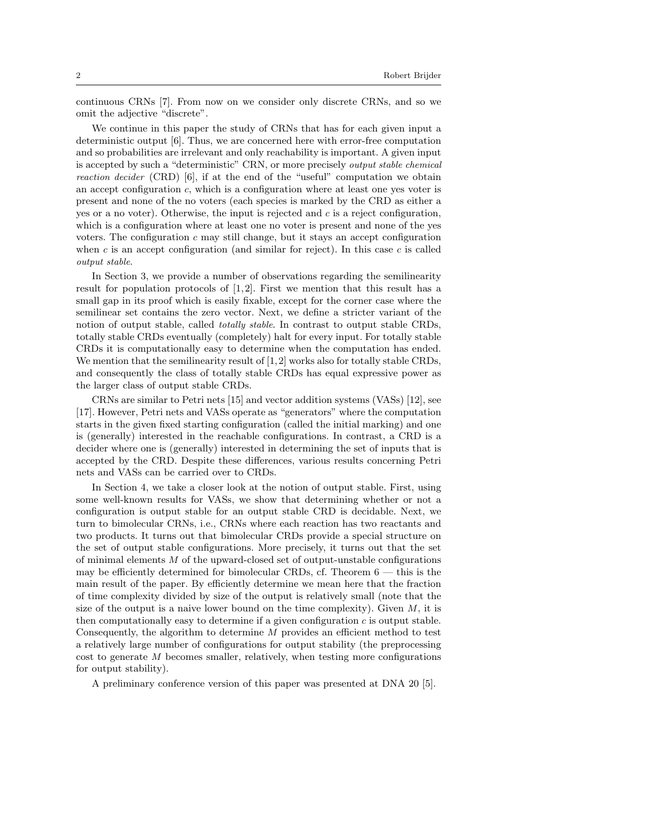continuous CRNs [7]. From now on we consider only discrete CRNs, and so we omit the adjective "discrete".

We continue in this paper the study of CRNs that has for each given input a deterministic output [6]. Thus, we are concerned here with error-free computation and so probabilities are irrelevant and only reachability is important. A given input is accepted by such a "deterministic" CRN, or more precisely output stable chemical reaction decider (CRD) [6], if at the end of the "useful" computation we obtain an accept configuration c, which is a configuration where at least one yes voter is present and none of the no voters (each species is marked by the CRD as either a yes or a no voter). Otherwise, the input is rejected and  $c$  is a reject configuration, which is a configuration where at least one no voter is present and none of the yes voters. The configuration  $c$  may still change, but it stays an accept configuration when c is an accept configuration (and similar for reject). In this case c is called output stable.

In Section 3, we provide a number of observations regarding the semilinearity result for population protocols of  $[1, 2]$ . First we mention that this result has a small gap in its proof which is easily fixable, except for the corner case where the semilinear set contains the zero vector. Next, we define a stricter variant of the notion of output stable, called totally stable. In contrast to output stable CRDs, totally stable CRDs eventually (completely) halt for every input. For totally stable CRDs it is computationally easy to determine when the computation has ended. We mention that the semilinearity result of [1,2] works also for totally stable CRDs, and consequently the class of totally stable CRDs has equal expressive power as the larger class of output stable CRDs.

CRNs are similar to Petri nets [15] and vector addition systems (VASs) [12], see [17]. However, Petri nets and VASs operate as "generators" where the computation starts in the given fixed starting configuration (called the initial marking) and one is (generally) interested in the reachable configurations. In contrast, a CRD is a decider where one is (generally) interested in determining the set of inputs that is accepted by the CRD. Despite these differences, various results concerning Petri nets and VASs can be carried over to CRDs.

In Section 4, we take a closer look at the notion of output stable. First, using some well-known results for VASs, we show that determining whether or not a configuration is output stable for an output stable CRD is decidable. Next, we turn to bimolecular CRNs, i.e., CRNs where each reaction has two reactants and two products. It turns out that bimolecular CRDs provide a special structure on the set of output stable configurations. More precisely, it turns out that the set of minimal elements  $M$  of the upward-closed set of output-unstable configurations may be efficiently determined for bimolecular CRDs, cf. Theorem 6 — this is the main result of the paper. By efficiently determine we mean here that the fraction of time complexity divided by size of the output is relatively small (note that the size of the output is a naive lower bound on the time complexity). Given  $M$ , it is then computationally easy to determine if a given configuration  $c$  is output stable. Consequently, the algorithm to determine M provides an efficient method to test a relatively large number of configurations for output stability (the preprocessing cost to generate M becomes smaller, relatively, when testing more configurations for output stability).

A preliminary conference version of this paper was presented at DNA 20 [5].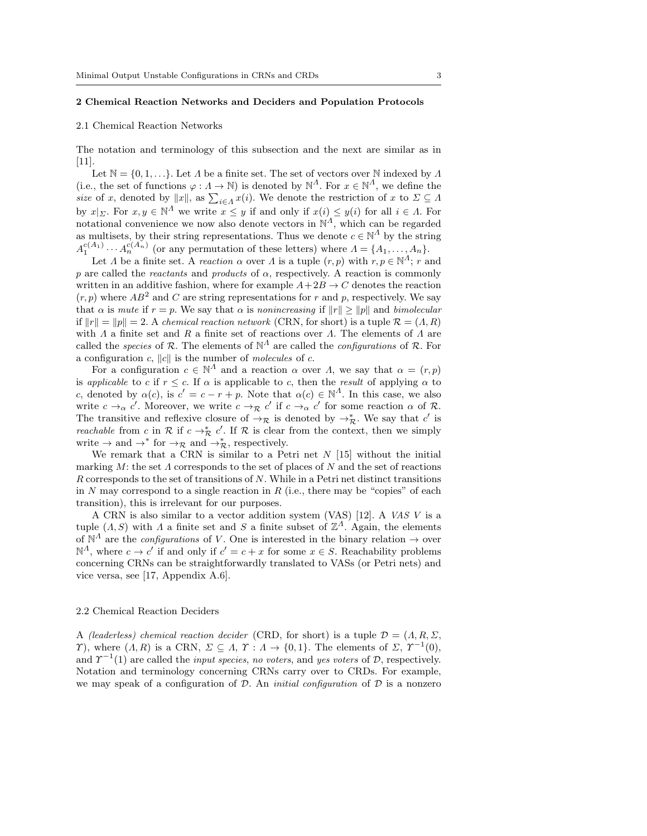# 2 Chemical Reaction Networks and Deciders and Population Protocols

## 2.1 Chemical Reaction Networks

The notation and terminology of this subsection and the next are similar as in [11].

Let  $\mathbb{N} = \{0, 1, \ldots\}$ . Let  $\Lambda$  be a finite set. The set of vectors over  $\mathbb N$  indexed by  $\Lambda$ (i.e., the set of functions  $\varphi: \Lambda \to \mathbb{N}$ ) is denoted by  $\mathbb{N}^{\Lambda}$ . For  $x \in \mathbb{N}^{\Lambda}$ , we define the size of x, denoted by  $||x||$ , as  $\sum_{i\in A} x(i)$ . We denote the restriction of x to  $\Sigma \subseteq \Lambda$ by  $x|_{\Sigma}$ . For  $x, y \in \mathbb{N}^{\Lambda}$  we write  $x \leq y$  if and only if  $x(i) \leq y(i)$  for all  $i \in \Lambda$ . For notational convenience we now also denote vectors in  $\mathbb{N}^A$ , which can be regarded as multisets, by their string representations. Thus we denote  $c \in \mathbb{N}^{\Lambda}$  by the string  $A_1^{c(A_1)} \cdots A_n^{c(A_n)}$  (or any permutation of these letters) where  $\Lambda = \{A_1, \ldots, A_n\}.$ 

Let  $\Lambda$  be a finite set. A reaction  $\alpha$  over  $\Lambda$  is a tuple  $(r, p)$  with  $r, p \in \mathbb{N}^{\Lambda}$ ; r and p are called the reactants and products of  $\alpha$ , respectively. A reaction is commonly written in an additive fashion, where for example  $A+2B \rightarrow C$  denotes the reaction  $(r, p)$  where  $AB^2$  and C are string representations for r and p, respectively. We say that  $\alpha$  is mute if  $r = p$ . We say that  $\alpha$  is nonincreasing if  $||r|| > ||p||$  and bimolecular if  $||r|| = ||p|| = 2$ . A chemical reaction network (CRN, for short) is a tuple  $\mathcal{R} = (\Lambda, R)$ with  $\Lambda$  a finite set and  $R$  a finite set of reactions over  $\Lambda$ . The elements of  $\Lambda$  are called the *species* of R. The elements of  $\mathbb{N}^{\Lambda}$  are called the *configurations* of R. For a configuration c,  $||c||$  is the number of molecules of c.

For a configuration  $c \in \mathbb{N}^{\Lambda}$  and a reaction  $\alpha$  over  $\Lambda$ , we say that  $\alpha = (r, p)$ is applicable to c if  $r \leq c$ . If  $\alpha$  is applicable to c, then the result of applying  $\alpha$  to c, denoted by  $\alpha(c)$ , is  $c' = c - r + p$ . Note that  $\alpha(c) \in \mathbb{N}^{\Lambda}$ . In this case, we also write  $c \to \alpha$  c'. Moreover, we write  $c \to \alpha$  c' if  $c \to \alpha$  c' for some reaction  $\alpha$  of R. The transitive and reflexive closure of  $\rightarrow_{\mathcal{R}}$  is denoted by  $\rightarrow_{\mathcal{R}}^*$ . We say that c' is *reachable* from c in R if  $c \rightarrow_{\mathcal{R}}^{\ast} c'$ . If R is clear from the context, then we simply write  $\rightarrow$  and  $\rightarrow^*$  for  $\rightarrow_{\mathcal{R}}$  and  $\rightarrow^*_{\mathcal{R}}$ , respectively.

We remark that a CRN is similar to a Petri net  $N$  [15] without the initial marking M: the set  $\Lambda$  corresponds to the set of places of N and the set of reactions R corresponds to the set of transitions of N. While in a Petri net distinct transitions in N may correspond to a single reaction in R (i.e., there may be "copies" of each transition), this is irrelevant for our purposes.

A CRN is also similar to a vector addition system (VAS) [12]. A VAS V is a tuple  $(A, S)$  with  $\Lambda$  a finite set and  $S$  a finite subset of  $\mathbb{Z}^{\Lambda}$ . Again, the elements of  $\mathbb{N}^A$  are the *configurations* of V. One is interested in the binary relation  $\rightarrow$  over  $\mathbb{N}^{\Lambda}$ , where  $c \to c'$  if and only if  $c' = c + x$  for some  $x \in S$ . Reachability problems concerning CRNs can be straightforwardly translated to VASs (or Petri nets) and vice versa, see [17, Appendix A.6].

# 2.2 Chemical Reaction Deciders

A (leaderless) chemical reaction decider (CRD, for short) is a tuple  $\mathcal{D} = (\Lambda, R, \Sigma, \Sigma)$ T), where  $(A, R)$  is a CRN,  $\Sigma \subseteq A$ ,  $\Upsilon : A \to \{0, 1\}$ . The elements of  $\Sigma$ ,  $\Upsilon^{-1}(0)$ , and  $\Upsilon^{-1}(1)$  are called the *input species, no voters,* and *yes voters* of  $D$ , respectively. Notation and terminology concerning CRNs carry over to CRDs. For example, we may speak of a configuration of  $D$ . An *initial configuration* of  $D$  is a nonzero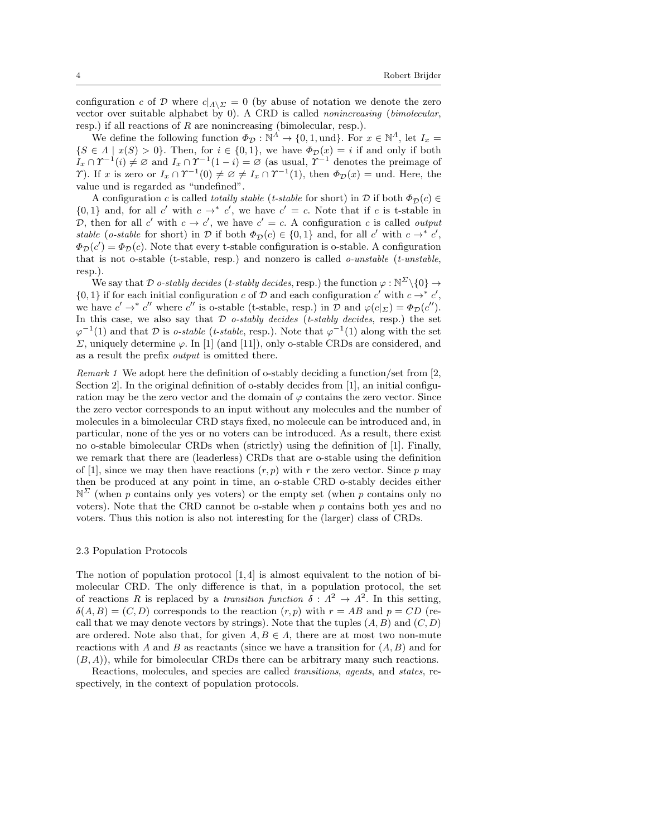configuration c of D where  $c|_{\Lambda \backslash \Sigma} = 0$  (by abuse of notation we denote the zero vector over suitable alphabet by 0). A CRD is called nonincreasing (bimolecular, resp.) if all reactions of R are nonincreasing (bimolecular, resp.).

We define the following function  $\Phi_{\mathcal{D}} : \mathbb{N}^{\Lambda} \to \{0, 1, \text{und}\}.$  For  $x \in \mathbb{N}^{\Lambda}$ , let  $I_x =$  $\{S \in \Lambda \mid x(S) > 0\}$ . Then, for  $i \in \{0,1\}$ , we have  $\Phi_{\mathcal{D}}(x) = i$  if and only if both  $I_x \cap \Upsilon^{-1}(i) \neq \emptyset$  and  $I_x \cap \Upsilon^{-1}(1-i) = \emptyset$  (as usual,  $\Upsilon^{-1}$  denotes the preimage of T). If x is zero or  $I_x \cap T^{-1}(0) \neq \emptyset \neq I_x \cap T^{-1}(1)$ , then  $\Phi_{\mathcal{D}}(x) =$  und. Here, the value und is regarded as "undefined".

A configuration c is called totally stable (t-stable for short) in D if both  $\Phi_{\mathcal{D}}(c) \in$  $\{0,1\}$  and, for all c' with  $c \rightarrow^* c'$ , we have  $c' = c$ . Note that if c is t-stable in D, then for all c' with  $c \to c'$ , we have  $c' = c$ . A configuration c is called *output* stable (o-stable for short) in  $\mathcal D$  if both  $\Phi_{\mathcal D}(c) \in \{0,1\}$  and, for all  $c'$  with  $c \to^* c'$ ,  $\Phi_{\mathcal{D}}(c') = \Phi_{\mathcal{D}}(c)$ . Note that every t-stable configuration is o-stable. A configuration that is not o-stable (t-stable, resp.) and nonzero is called *o-unstable* (*t-unstable*, resp.).

We say that D o-stably decides (t-stably decides, resp.) the function  $\varphi : \mathbb{N}^{\Sigma} \setminus \{0\} \to$  $\{0,1\}$  if for each initial configuration c of D and each configuration c' with  $c \to^* c'$ , we have  $c' \to^* c''$  where  $c''$  is o-stable (t-stable, resp.) in  $\mathcal{D}$  and  $\varphi(c|_{\Sigma}) = \Phi_{\mathcal{D}}(c'')$ . In this case, we also say that  $D$  o-stably decides (t-stably decides, resp.) the set  $\varphi^{-1}(1)$  and that D is *o-stable* (*t-stable*, resp.). Note that  $\varphi^{-1}(1)$  along with the set Σ, uniquely determine  $\varphi$ . In [1] (and [11]), only o-stable CRDs are considered, and as a result the prefix output is omitted there.

*Remark 1* We adopt here the definition of o-stably deciding a function/set from [2, Section 2]. In the original definition of o-stably decides from [1], an initial configuration may be the zero vector and the domain of  $\varphi$  contains the zero vector. Since the zero vector corresponds to an input without any molecules and the number of molecules in a bimolecular CRD stays fixed, no molecule can be introduced and, in particular, none of the yes or no voters can be introduced. As a result, there exist no o-stable bimolecular CRDs when (strictly) using the definition of [1]. Finally, we remark that there are (leaderless) CRDs that are o-stable using the definition of [1], since we may then have reactions  $(r, p)$  with r the zero vector. Since p may then be produced at any point in time, an o-stable CRD o-stably decides either  $\mathbb{N}^{\Sigma}$  (when p contains only yes voters) or the empty set (when p contains only no voters). Note that the CRD cannot be o-stable when  $p$  contains both yes and no voters. Thus this notion is also not interesting for the (larger) class of CRDs.

#### 2.3 Population Protocols

The notion of population protocol  $[1, 4]$  is almost equivalent to the notion of bimolecular CRD. The only difference is that, in a population protocol, the set of reactions R is replaced by a transition function  $\delta: \Lambda^2 \to \Lambda^2$ . In this setting,  $\delta(A, B) = (C, D)$  corresponds to the reaction  $(r, p)$  with  $r = AB$  and  $p = CD$  (recall that we may denote vectors by strings). Note that the tuples  $(A, B)$  and  $(C, D)$ are ordered. Note also that, for given  $A, B \in \Lambda$ , there are at most two non-mute reactions with A and B as reactants (since we have a transition for  $(A, B)$  and for  $(B, A)$ , while for bimolecular CRDs there can be arbitrary many such reactions.

Reactions, molecules, and species are called transitions, agents, and states, respectively, in the context of population protocols.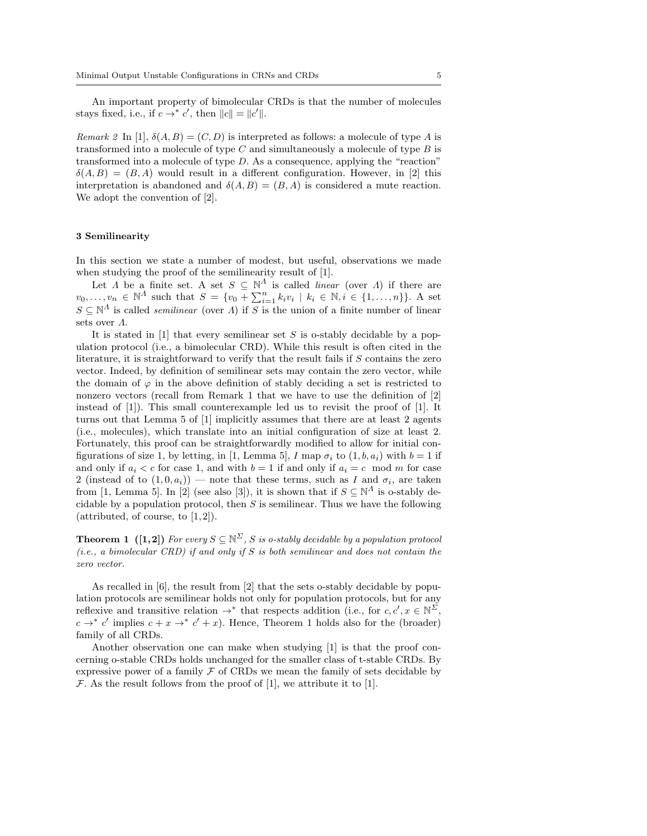An important property of bimolecular CRDs is that the number of molecules stays fixed, i.e., if  $c \rightarrow^* c'$ , then  $||c|| = ||c'||$ .

Remark 2 In [1],  $\delta(A, B) = (C, D)$  is interpreted as follows: a molecule of type A is transformed into a molecule of type  $C$  and simultaneously a molecule of type  $B$  is transformed into a molecule of type D. As a consequence, applying the "reaction"  $\delta(A, B) = (B, A)$  would result in a different configuration. However, in [2] this interpretation is abandoned and  $\delta(A, B) = (B, A)$  is considered a mute reaction. We adopt the convention of [2].

## 3 Semilinearity

In this section we state a number of modest, but useful, observations we made when studying the proof of the semilinearity result of [1].

Let  $\Lambda$  be a finite set. A set  $S \subseteq \mathbb{N}^{\Lambda}$  is called *linear* (over  $\Lambda$ ) if there are  $v_0, \ldots, v_n \in \mathbb{N}^{\Lambda}$  such that  $S = \{v_0 + \sum_{i=1}^n k_i v_i \mid k_i \in \mathbb{N}, i \in \{1, \ldots, n\}\}.$  A set  $S \subseteq \mathbb{N}^{\Lambda}$  is called *semilinear* (over  $\Lambda$ ) if S is the union of a finite number of linear sets over Λ.

It is stated in [1] that every semilinear set S is o-stably decidable by a population protocol (i.e., a bimolecular CRD). While this result is often cited in the literature, it is straightforward to verify that the result fails if S contains the zero vector. Indeed, by definition of semilinear sets may contain the zero vector, while the domain of  $\varphi$  in the above definition of stably deciding a set is restricted to nonzero vectors (recall from Remark 1 that we have to use the definition of [2] instead of [1]). This small counterexample led us to revisit the proof of [1]. It turns out that Lemma 5 of [1] implicitly assumes that there are at least 2 agents (i.e., molecules), which translate into an initial configuration of size at least 2. Fortunately, this proof can be straightforwardly modified to allow for initial configurations of size 1, by letting, in [1, Lemma 5], I map  $\sigma_i$  to  $(1, b, a_i)$  with  $b = 1$  if and only if  $a_i < c$  for case 1, and with  $b = 1$  if and only if  $a_i = c$  mod m for case 2 (instead of to  $(1,0,a_i)$ ) — note that these terms, such as I and  $\sigma_i$ , are taken from [1, Lemma 5]. In [2] (see also [3]), it is shown that if  $S \subseteq \mathbb{N}^{\Lambda}$  is o-stably decidable by a population protocol, then  $S$  is semilinear. Thus we have the following (attributed, of course, to  $[1, 2]$ ).

**Theorem 1** ([1,2]) For every  $S \subseteq \mathbb{N}^{\Sigma}$ , S is o-stably decidable by a population protocol  $(i.e., a bimolecular CRD)$  if and only if S is both semilinear and does not contain the zero vector.

As recalled in [6], the result from [2] that the sets o-stably decidable by population protocols are semilinear holds not only for population protocols, but for any reflexive and transitive relation  $\rightarrow^*$  that respects addition (i.e., for  $c, c', x \in \mathbb{N}^{\Sigma}$ ,  $c \rightarrow^* c'$  implies  $c + x \rightarrow^* c' + x$ ). Hence, Theorem 1 holds also for the (broader) family of all CRDs.

Another observation one can make when studying [1] is that the proof concerning o-stable CRDs holds unchanged for the smaller class of t-stable CRDs. By expressive power of a family  $\mathcal F$  of CRDs we mean the family of sets decidable by  $\mathcal F$ . As the result follows from the proof of [1], we attribute it to [1].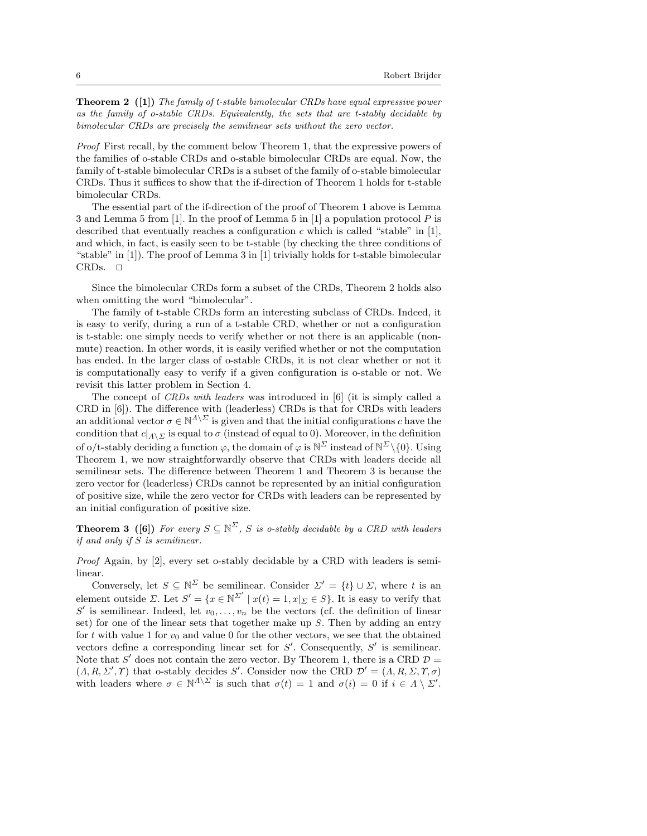**Theorem 2** ([1]) The family of t-stable bimolecular CRDs have equal expressive power as the family of o-stable CRDs. Equivalently, the sets that are t-stably decidable by bimolecular CRDs are precisely the semilinear sets without the zero vector.

Proof First recall, by the comment below Theorem 1, that the expressive powers of the families of o-stable CRDs and o-stable bimolecular CRDs are equal. Now, the family of t-stable bimolecular CRDs is a subset of the family of o-stable bimolecular CRDs. Thus it suffices to show that the if-direction of Theorem 1 holds for t-stable bimolecular CRDs.

The essential part of the if-direction of the proof of Theorem 1 above is Lemma 3 and Lemma 5 from [1]. In the proof of Lemma 5 in [1] a population protocol  $P$  is described that eventually reaches a configuration c which is called "stable" in [1], and which, in fact, is easily seen to be t-stable (by checking the three conditions of "stable" in [1]). The proof of Lemma 3 in [1] trivially holds for t-stable bimolecular CRDs.  $\Box$ 

Since the bimolecular CRDs form a subset of the CRDs, Theorem 2 holds also when omitting the word "bimolecular".

The family of t-stable CRDs form an interesting subclass of CRDs. Indeed, it is easy to verify, during a run of a t-stable CRD, whether or not a configuration is t-stable: one simply needs to verify whether or not there is an applicable (nonmute) reaction. In other words, it is easily verified whether or not the computation has ended. In the larger class of o-stable CRDs, it is not clear whether or not it is computationally easy to verify if a given configuration is o-stable or not. We revisit this latter problem in Section 4.

The concept of CRDs with leaders was introduced in [6] (it is simply called a CRD in [6]). The difference with (leaderless) CRDs is that for CRDs with leaders an additional vector  $\sigma \in \mathbb{N}^{\Lambda \setminus \Sigma}$  is given and that the initial configurations c have the condition that  $c|_{\Lambda\setminus\Sigma}$  is equal to  $\sigma$  (instead of equal to 0). Moreover, in the definition of o/t-stably deciding a function  $\varphi$ , the domain of  $\varphi$  is  $\mathbb{N}^{\Sigma}$  instead of  $\mathbb{N}^{\Sigma}\setminus\{0\}$ . Using Theorem 1, we now straightforwardly observe that CRDs with leaders decide all semilinear sets. The difference between Theorem 1 and Theorem 3 is because the zero vector for (leaderless) CRDs cannot be represented by an initial configuration of positive size, while the zero vector for CRDs with leaders can be represented by an initial configuration of positive size.

**Theorem 3** ([6]) For every  $S \subseteq \mathbb{N}^{\Sigma}$ , S is o-stably decidable by a CRD with leaders if and only if S is semilinear.

Proof Again, by [2], every set o-stably decidable by a CRD with leaders is semilinear.

Conversely, let  $S \subseteq \mathbb{N}^{\Sigma}$  be semilinear. Consider  $\Sigma' = \{t\} \cup \Sigma$ , where t is an element outside  $\Sigma$ . Let  $S' = \{x \in \mathbb{N}^{\Sigma'} \mid x(t) = 1, x|_{\Sigma} \in S\}$ . It is easy to verify that S' is semilinear. Indeed, let  $v_0, \ldots, v_n$  be the vectors (cf. the definition of linear set) for one of the linear sets that together make up S. Then by adding an entry for t with value 1 for  $v_0$  and value 0 for the other vectors, we see that the obtained vectors define a corresponding linear set for  $S'$ . Consequently,  $S'$  is semilinear. Note that S' does not contain the zero vector. By Theorem 1, there is a CRD  $\mathcal{D} =$  $(A, R, \Sigma', \Upsilon)$  that o-stably decides S'. Consider now the CRD  $\mathcal{D}' = (A, R, \Sigma, \Upsilon, \sigma)$ with leaders where  $\sigma \in \mathbb{N}^{\Lambda \setminus \Sigma}$  is such that  $\sigma(t) = 1$  and  $\sigma(i) = 0$  if  $i \in \Lambda \setminus \Sigma'$ .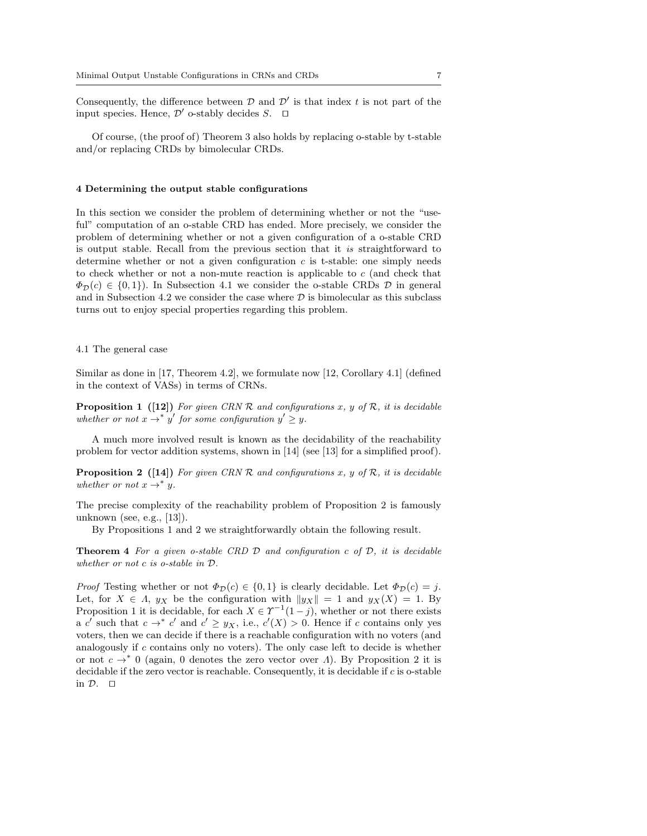Consequently, the difference between  $\mathcal D$  and  $\mathcal D'$  is that index t is not part of the input species. Hence,  $\mathcal{D}'$  o-stably decides S.  $\Box$ 

Of course, (the proof of) Theorem 3 also holds by replacing o-stable by t-stable and/or replacing CRDs by bimolecular CRDs.

#### 4 Determining the output stable configurations

In this section we consider the problem of determining whether or not the "useful" computation of an o-stable CRD has ended. More precisely, we consider the problem of determining whether or not a given configuration of a o-stable CRD is output stable. Recall from the previous section that it is straightforward to determine whether or not a given configuration  $c$  is t-stable: one simply needs to check whether or not a non-mute reaction is applicable to c (and check that  $\Phi_{\mathcal{D}}(c) \in \{0,1\}$ . In Subsection 4.1 we consider the o-stable CRDs  $\mathcal{D}$  in general and in Subsection 4.2 we consider the case where  $\mathcal D$  is bimolecular as this subclass turns out to enjoy special properties regarding this problem.

# 4.1 The general case

Similar as done in [17, Theorem 4.2], we formulate now [12, Corollary 4.1] (defined in the context of VASs) in terms of CRNs.

**Proposition 1** ([12]) For given CRN  $\mathcal{R}$  and configurations x, y of  $\mathcal{R}$ , it is decidable whether or not  $x \to^* y'$  for some configuration  $y' \geq y$ .

A much more involved result is known as the decidability of the reachability problem for vector addition systems, shown in [14] (see [13] for a simplified proof).

**Proposition 2** ([14]) For given CRN R and configurations x, y of R, it is decidable whether or not  $x \rightarrow^* y$ .

The precise complexity of the reachability problem of Proposition 2 is famously unknown (see, e.g., [13]).

By Propositions 1 and 2 we straightforwardly obtain the following result.

**Theorem 4** For a given o-stable CRD  $\mathcal{D}$  and configuration c of  $\mathcal{D}$ , it is decidable whether or not c is o-stable in D.

Proof Testing whether or not  $\Phi_{\mathcal{D}}(c) \in \{0,1\}$  is clearly decidable. Let  $\Phi_{\mathcal{D}}(c) = j$ . Let, for  $X \in \Lambda$ ,  $y_X$  be the configuration with  $||y_X|| = 1$  and  $y_X(X) = 1$ . By Proposition 1 it is decidable, for each  $X \in \Upsilon^{-1}(1-j)$ , whether or not there exists a c' such that  $c \to^* c'$  and  $c' \geq y_X$ , i.e.,  $c'(X) > 0$ . Hence if c contains only yes voters, then we can decide if there is a reachable configuration with no voters (and analogously if c contains only no voters). The only case left to decide is whether or not  $c \rightarrow^* 0$  (again, 0 denotes the zero vector over  $\Lambda$ ). By Proposition 2 it is decidable if the zero vector is reachable. Consequently, it is decidable if c is o-stable in  $\mathcal{D}$ .  $\square$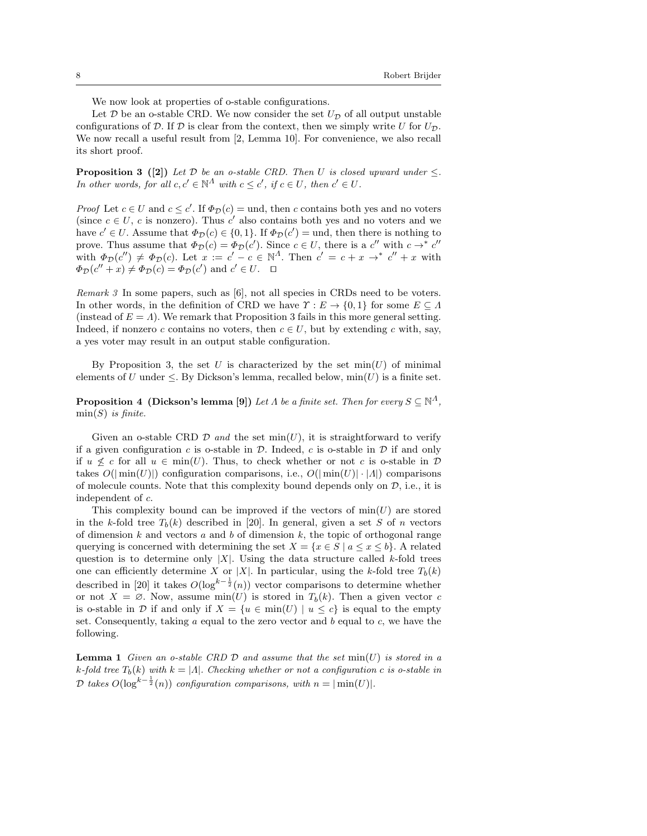We now look at properties of o-stable configurations.

Let  $\mathcal D$  be an o-stable CRD. We now consider the set  $U_{\mathcal D}$  of all output unstable configurations of  $D$ . If  $D$  is clear from the context, then we simply write U for  $U_{\mathcal{D}}$ . We now recall a useful result from [2, Lemma 10]. For convenience, we also recall its short proof.

**Proposition 3** ([2]) Let  $D$  be an o-stable CRD. Then U is closed upward under  $\leq$ . In other words, for all  $c, c' \in \mathbb{N}^{\Lambda}$  with  $c \leq c'$ , if  $c \in U$ , then  $c' \in U$ .

*Proof* Let  $c \in U$  and  $c \leq c'$ . If  $\Phi_{\mathcal{D}}(c) = \text{und}$ , then c contains both yes and no voters (since  $c \in U$ , c is nonzero). Thus c' also contains both yes and no voters and we have  $c' \in U$ . Assume that  $\Phi_D(c) \in \{0,1\}$ . If  $\Phi_D(c') = \text{und}$ , then there is nothing to prove. Thus assume that  $\Phi_{\mathcal{D}}(c) = \Phi_{\mathcal{D}}(c')$ . Since  $c \in U$ , there is a  $c''$  with  $c \to c''$ with  $\Phi_{\mathcal{D}}(c'') \neq \Phi_{\mathcal{D}}(c)$ . Let  $x := c' - c \in \mathbb{N}^{\Lambda}$ . Then  $c' = c + x \to^* c'' + x$  with  $\Phi_{\mathcal{D}}(c'' + x) \neq \Phi_{\mathcal{D}}(c) = \Phi_{\mathcal{D}}(c')$  and  $c' \in U$ .  $\Box$ 

*Remark 3* In some papers, such as  $[6]$ , not all species in CRDs need to be voters. In other words, in the definition of CRD we have  $\Upsilon : E \to \{0,1\}$  for some  $E \subseteq \Lambda$ (instead of  $E = \Lambda$ ). We remark that Proposition 3 fails in this more general setting. Indeed, if nonzero c contains no voters, then  $c \in U$ , but by extending c with, say, a yes voter may result in an output stable configuration.

By Proposition 3, the set U is characterized by the set  $min(U)$  of minimal elements of U under  $\leq$ . By Dickson's lemma, recalled below,  $min(U)$  is a finite set.

**Proposition 4 (Dickson's lemma [9])** Let  $\Lambda$  be a finite set. Then for every  $S \subseteq \mathbb{N}^{\Lambda}$ ,  $min(S)$  is finite.

Given an o-stable CRD  $\mathcal D$  and the set min(U), it is straightforward to verify if a given configuration c is o-stable in  $D$ . Indeed, c is o-stable in  $D$  if and only if  $u \not\leq c$  for all  $u \in \min(U)$ . Thus, to check whether or not c is o-stable in  $\mathcal D$ takes  $O(|\min(U)|)$  configuration comparisons, i.e.,  $O(|\min(U)| \cdot |A|)$  comparisons of molecule counts. Note that this complexity bound depends only on  $D$ , i.e., it is independent of c.

This complexity bound can be improved if the vectors of  $min(U)$  are stored in the k-fold tree  $T<sub>b</sub>(k)$  described in [20]. In general, given a set S of n vectors of dimension  $k$  and vectors  $a$  and  $b$  of dimension  $k$ , the topic of orthogonal range querying is concerned with determining the set  $X = \{x \in S \mid a \leq x \leq b\}$ . A related question is to determine only |X|. Using the data structure called k-fold trees one can efficiently determine X or |X|. In particular, using the k-fold tree  $T_b(k)$ described in [20] it takes  $O(\log^{k-\frac{1}{2}}(n))$  vector comparisons to determine whether or not  $X = \emptyset$ . Now, assume min(U) is stored in  $T<sub>b</sub>(k)$ . Then a given vector c is o-stable in D if and only if  $X = \{u \in \min(U) \mid u \leq c\}$  is equal to the empty set. Consequently, taking  $a$  equal to the zero vector and  $b$  equal to  $c$ , we have the following.

**Lemma 1** Given an o-stable CRD  $\mathcal{D}$  and assume that the set  $\min(U)$  is stored in a k-fold tree  $T_b(k)$  with  $k = |A|$ . Checking whether or not a configuration c is o-stable in D takes  $O(\log^{k-\frac{1}{2}}(n))$  configuration comparisons, with  $n = |\min(U)|$ .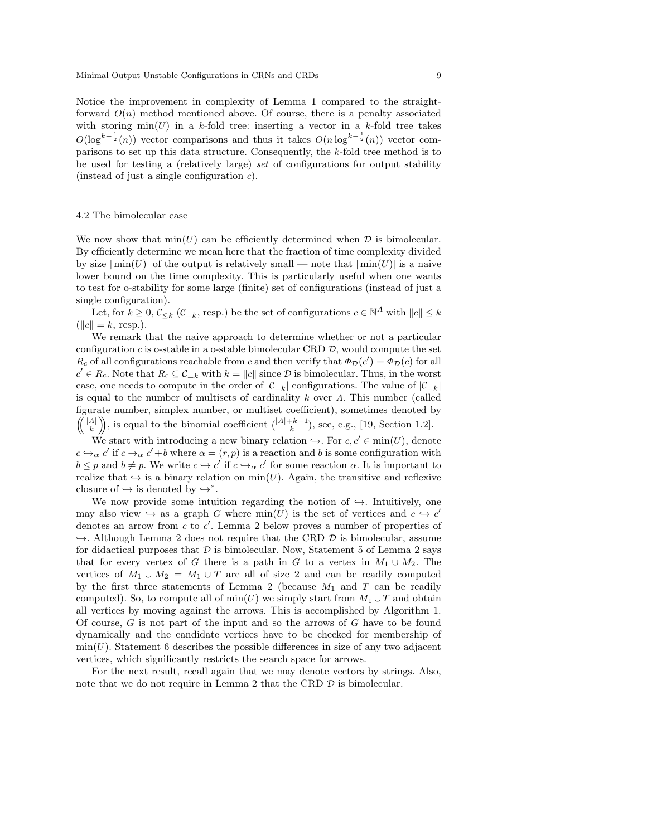Notice the improvement in complexity of Lemma 1 compared to the straightforward  $O(n)$  method mentioned above. Of course, there is a penalty associated with storing  $min(U)$  in a k-fold tree: inserting a vector in a k-fold tree takes  $O(\log^{k-\frac{1}{2}}(n))$  vector comparisons and thus it takes  $O(n \log^{k-\frac{1}{2}}(n))$  vector comparisons to set up this data structure. Consequently, the k-fold tree method is to be used for testing a (relatively large) set of configurations for output stability (instead of just a single configuration  $c$ ).

# 4.2 The bimolecular case

We now show that  $min(U)$  can be efficiently determined when  $D$  is bimolecular. By efficiently determine we mean here that the fraction of time complexity divided by size  $|\min(U)|$  of the output is relatively small — note that  $|\min(U)|$  is a naive lower bound on the time complexity. This is particularly useful when one wants to test for o-stability for some large (finite) set of configurations (instead of just a single configuration).

Let, for  $k \geq 0$ ,  $\mathcal{C}_{\leq k}$  ( $\mathcal{C}_{=k}$ , resp.) be the set of configurations  $c \in \mathbb{N}^{\Lambda}$  with  $||c|| \leq k$  $(||c|| = k$ , resp.).

We remark that the naive approach to determine whether or not a particular configuration  $c$  is o-stable in a o-stable bimolecular CRD  $\mathcal{D}$ , would compute the set  $R_c$  of all configurations reachable from c and then verify that  $\Phi_{\mathcal{D}}(c') = \Phi_{\mathcal{D}}(c)$  for all  $c' \in R_c$ . Note that  $R_c \subseteq C_{k}$  with  $k = ||c||$  since  $D$  is bimolecular. Thus, in the worst case, one needs to compute in the order of  $|\mathcal{C}_{=k}|$  configurations. The value of  $|\mathcal{C}_{=k}|$ is equal to the number of multisets of cardinality  $k$  over  $\Lambda$ . This number (called figurate number, simplex number, or multiset coefficient), sometimes denoted by  $\left(\binom{|A|}{k}\right)$ , is equal to the binomial coefficient  $\binom{|A|+k-1}{k}$ , see, e.g., [19, Section 1.2].

We start with introducing a new binary relation  $\hookrightarrow$ . For  $c, c' \in \min(U)$ , denote  $c \hookrightarrow_{\alpha} c'$  if  $c \to_{\alpha} c' + b$  where  $\alpha = (r, p)$  is a reaction and b is some configuration with  $b \leq p$  and  $b \neq p$ . We write  $c \hookrightarrow c'$  if  $c \hookrightarrow_{\alpha} c'$  for some reaction  $\alpha$ . It is important to realize that  $\hookrightarrow$  is a binary relation on min(U). Again, the transitive and reflexive closure of  $\hookrightarrow$  is denoted by  $\hookrightarrow^*$ .

We now provide some intuition regarding the notion of  $\hookrightarrow$ . Intuitively, one may also view  $\hookrightarrow$  as a graph G where  $\min(U)$  is the set of vertices and  $c \hookrightarrow c'$ denotes an arrow from  $c$  to  $c'$ . Lemma 2 below proves a number of properties of  $\hookrightarrow$ . Although Lemma 2 does not require that the CRD  $\mathcal D$  is bimolecular, assume for didactical purposes that  $D$  is bimolecular. Now, Statement 5 of Lemma 2 says that for every vertex of G there is a path in G to a vertex in  $M_1 \cup M_2$ . The vertices of  $M_1 \cup M_2 = M_1 \cup T$  are all of size 2 and can be readily computed by the first three statements of Lemma 2 (because  $M_1$  and  $T$  can be readily computed). So, to compute all of min(U) we simply start from  $M_1 \cup T$  and obtain all vertices by moving against the arrows. This is accomplished by Algorithm 1. Of course, G is not part of the input and so the arrows of G have to be found dynamically and the candidate vertices have to be checked for membership of  $\min(U)$ . Statement 6 describes the possible differences in size of any two adjacent vertices, which significantly restricts the search space for arrows.

For the next result, recall again that we may denote vectors by strings. Also, note that we do not require in Lemma 2 that the CRD  $D$  is bimolecular.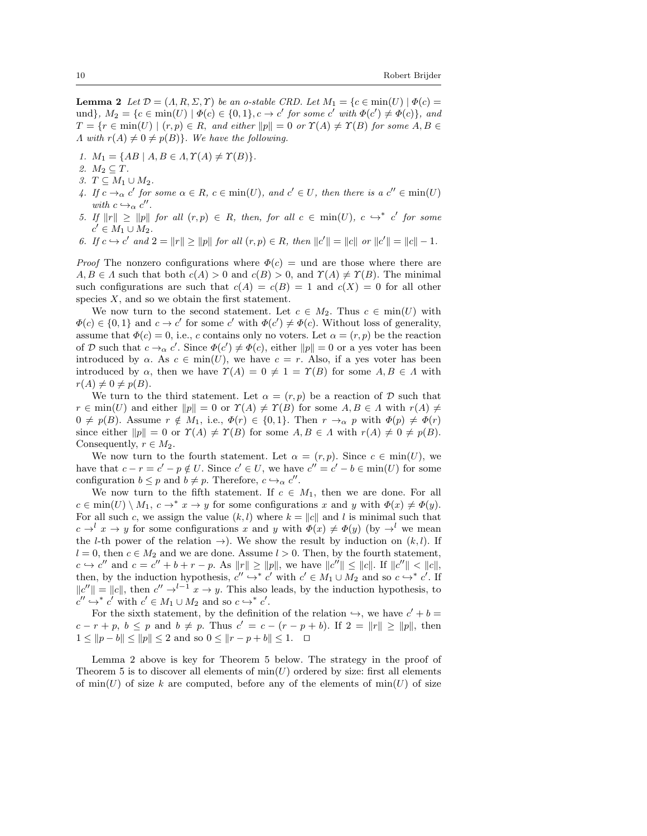**Lemma 2** Let  $\mathcal{D} = (A, R, \Sigma, \mathcal{T})$  be an o-stable CRD. Let  $M_1 = \{c \in \text{min}(U) \mid \Phi(c) =$ und},  $M_2 = \{c \in \min(U) \mid \Phi(c) \in \{0,1\}, c \to c' \text{ for some } c' \text{ with } \Phi(c') \neq \Phi(c)\}\$ , and  $T = \{r \in min(U) \mid (r, p) \in R, \text{ and either } ||p|| = 0 \text{ or } \Upsilon(A) \neq \Upsilon(B) \text{ for some } A, B \in$  $\Lambda$  with  $r(A) \neq 0 \neq p(B)$ . We have the following.

- 1.  $M_1 = \{AB \mid A, B \in A, \Upsilon(A) \neq \Upsilon(B)\}.$
- 2.  $M_2 \subseteq T$ .
- 3.  $T \subseteq M_1 \cup M_2$ .
- 4. If  $c \to_{\alpha} c'$  for some  $\alpha \in R$ ,  $c \in \min(U)$ , and  $c' \in U$ , then there is a  $c'' \in \min(U)$ with  $c \hookrightarrow_{\alpha} c''$ .
- 5. If  $||r|| \ge ||p||$  for all  $(r, p) \in R$ , then, for all  $c \in min(U)$ ,  $c \rightarrow^* c'$  for some  $c' \in M_1 \cup M_2$ .
- 6. If  $c \hookrightarrow c'$  and  $2 = ||r|| \ge ||p||$  for all  $(r, p) \in R$ , then  $||c'|| = ||c||$  or  $||c'|| = ||c|| 1$ .

*Proof* The nonzero configurations where  $\Phi(c) =$  und are those where there are  $A, B \in \Lambda$  such that both  $c(A) > 0$  and  $c(B) > 0$ , and  $\Upsilon(A) \neq \Upsilon(B)$ . The minimal such configurations are such that  $c(A) = c(B) = 1$  and  $c(X) = 0$  for all other species  $X$ , and so we obtain the first statement.

We now turn to the second statement. Let  $c \in M_2$ . Thus  $c \in \min(U)$  with  $\Phi(c) \in \{0, 1\}$  and  $c \to c'$  for some c' with  $\Phi(c') \neq \Phi(c)$ . Without loss of generality, assume that  $\Phi(c) = 0$ , i.e., c contains only no voters. Let  $\alpha = (r, p)$  be the reaction of D such that  $c \to_{\alpha} c'$ . Since  $\Phi(c') \neq \Phi(c)$ , either  $||p|| = 0$  or a yes voter has been introduced by  $\alpha$ . As  $c \in \min(U)$ , we have  $c = r$ . Also, if a yes voter has been introduced by  $\alpha$ , then we have  $\Upsilon(A) = 0 \neq 1 = \Upsilon(B)$  for some  $A, B \in \Lambda$  with  $r(A) \neq 0 \neq p(B).$ 

We turn to the third statement. Let  $\alpha = (r, p)$  be a reaction of D such that  $r \in min(U)$  and either  $||p|| = 0$  or  $\Upsilon(A) \neq \Upsilon(B)$  for some  $A, B \in \Lambda$  with  $r(A) \neq$  $0 \neq p(B)$ . Assume  $r \notin M_1$ , i.e.,  $\Phi(r) \in \{0,1\}$ . Then  $r \to_\alpha p$  with  $\Phi(p) \neq \Phi(r)$ since either  $||p|| = 0$  or  $\Upsilon(A) \neq \Upsilon(B)$  for some  $A, B \in \Lambda$  with  $r(A) \neq 0 \neq p(B)$ . Consequently,  $r \in M_2$ .

We now turn to the fourth statement. Let  $\alpha = (r, p)$ . Since  $c \in \min(U)$ , we have that  $c - r = c' - p \notin U$ . Since  $c' \in U$ , we have  $c'' = c' - b \in min(U)$  for some configuration  $b \leq p$  and  $b \neq p$ . Therefore,  $c \hookrightarrow_{\alpha} c''$ .

We now turn to the fifth statement. If  $c \in M_1$ , then we are done. For all  $c \in \min(U) \setminus M_1, c \to^* x \to y$  for some configurations x and y with  $\Phi(x) \neq \Phi(y)$ . For all such c, we assign the value  $(k, l)$  where  $k = ||c||$  and l is minimal such that  $c \to^{l} x \to y$  for some configurations x and y with  $\Phi(x) \neq \Phi(y)$  (by  $\to^{l}$  we mean the *l*-th power of the relation  $\rightarrow$ ). We show the result by induction on  $(k, l)$ . If  $l = 0$ , then  $c \in M_2$  and we are done. Assume  $l > 0$ . Then, by the fourth statement,  $c \hookrightarrow c''$  and  $c = c'' + b + r - p$ . As  $||r|| \ge ||p||$ , we have  $||c''|| \le ||c||$ . If  $||c''|| < ||c||$ , then, by the induction hypothesis,  $c'' \hookrightarrow^* c'$  with  $c' \in M_1 \cup M_2$  and so  $c \hookrightarrow^* c'$ . If  $||c''|| = ||c||$ , then  $c'' \rightarrow^{l-1} x \rightarrow y$ . This also leads, by the induction hypothesis, to  $c'' \hookrightarrow^* c'$  with  $c' \in M_1 \cup M_2$  and so  $c \hookrightarrow^* c'.$ 

For the sixth statement, by the definition of the relation  $\hookrightarrow$ , we have  $c' + b =$  $c - r + p$ ,  $b \leq p$  and  $b \neq p$ . Thus  $c' = c - (r - p + b)$ . If  $2 = ||r|| \geq ||p||$ , then  $1 \le ||p - b|| \le ||p|| \le 2$  and so  $0 \le ||r - p + b|| \le 1$ . □

Lemma 2 above is key for Theorem 5 below. The strategy in the proof of Theorem 5 is to discover all elements of  $min(U)$  ordered by size: first all elements of  $min(U)$  of size k are computed, before any of the elements of  $min(U)$  of size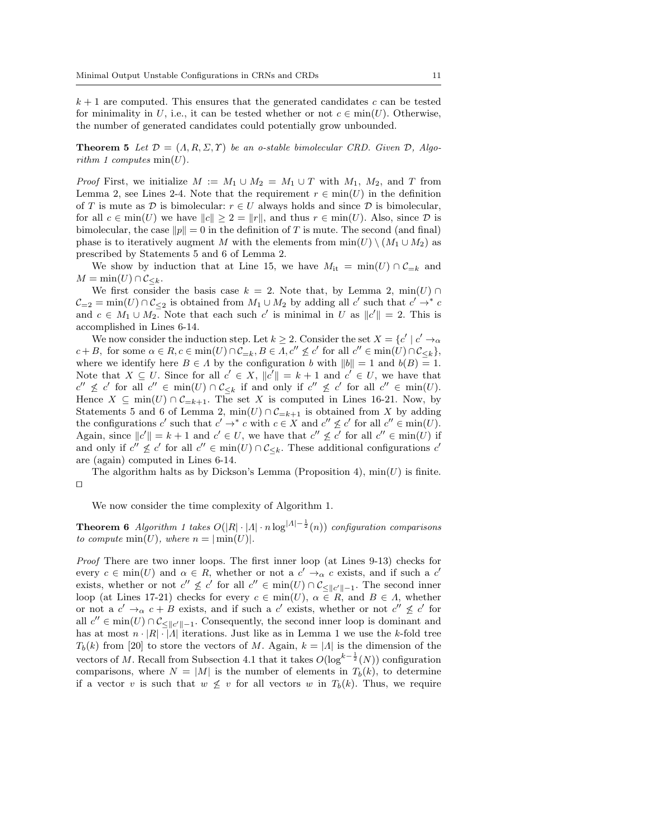$k+1$  are computed. This ensures that the generated candidates c can be tested for minimality in U, i.e., it can be tested whether or not  $c \in \min(U)$ . Otherwise, the number of generated candidates could potentially grow unbounded.

**Theorem 5** Let  $\mathcal{D} = (\Lambda, R, \Sigma, \Upsilon)$  be an o-stable bimolecular CRD. Given  $\mathcal{D}$ , Algorithm 1 computes  $min(U)$ .

*Proof* First, we initialize  $M := M_1 \cup M_2 = M_1 \cup T$  with  $M_1, M_2$ , and T from Lemma 2, see Lines 2-4. Note that the requirement  $r \in min(U)$  in the definition of T is mute as D is bimolecular:  $r \in U$  always holds and since D is bimolecular, for all  $c \in \min(U)$  we have  $||c|| \geq 2 = ||r||$ , and thus  $r \in \min(U)$ . Also, since  $D$  is bimolecular, the case  $||p|| = 0$  in the definition of T is mute. The second (and final) phase is to iteratively augment M with the elements from  $\min(U) \setminus (M_1 \cup M_2)$  as prescribed by Statements 5 and 6 of Lemma 2.

We show by induction that at Line 15, we have  $M_{it} = min(U) \cap C_{=k}$  and  $M = \min(U) \cap C_{\leq k}$ .

We first consider the basis case  $k = 2$ . Note that, by Lemma 2, min(U) ∩  $\mathcal{C}_{=2} = \min(U) \cap \mathcal{C}_{\leq 2}$  is obtained from  $M_1 \cup M_2$  by adding all  $c'$  such that  $c' \to c'$ and  $c \in M_1 \cup M_2$ . Note that each such c' is minimal in U as  $||c'|| = 2$ . This is accomplished in Lines 6-14.

We now consider the induction step. Let  $k \geq 2$ . Consider the set  $X = \{c' \mid c' \rightarrow \alpha\}$  $c + B$ , for some  $\alpha \in R$ ,  $c \in \min(U) \cap C_{k}$ ,  $B \in \Lambda$ ,  $c'' \nleq c'$  for all  $c'' \in \min(U) \cap C_{\leq k}$ , where we identify here  $B \in \Lambda$  by the configuration b with  $||b|| = 1$  and  $b(B) = 1$ . Note that  $X \subseteq U$ . Since for all  $c' \in X$ ,  $||c'|| = k + 1$  and  $c' \in U$ , we have that  $c'' \nleq c'$  for all  $c'' \in \min(U) \cap C_{\leq k}$  if and only if  $c'' \nleq c'$  for all  $c'' \in \min(U)$ . Hence  $X \subseteq \min(U) \cap C_{=k+1}$ . The set X is computed in Lines 16-21. Now, by Statements 5 and 6 of Lemma 2, min(U) ∩  $C_{=k+1}$  is obtained from X by adding the configurations c' such that  $c' \to^* c$  with  $c \in X$  and  $c'' \nleq c'$  for all  $c'' \in \min(U)$ . Again, since  $||c'|| = k + 1$  and  $c' \in U$ , we have that  $c'' \nleq c'$  for all  $c'' \in min(U)$  if and only if  $c'' \nleq c'$  for all  $c'' \in \min(U) \cap C_{\leq k}$ . These additional configurations  $c'$ are (again) computed in Lines 6-14.

The algorithm halts as by Dickson's Lemma (Proposition 4),  $min(U)$  is finite.  $\Box$ 

We now consider the time complexity of Algorithm 1.

**Theorem 6** Algorithm 1 takes  $O(|R|\cdot |\Lambda|\cdot n \log^{|\Lambda|-\frac{1}{2}}(n))$  configuration comparisons to compute  $\min(U)$ , where  $n = |\min(U)|$ .

Proof There are two inner loops. The first inner loop (at Lines 9-13) checks for every  $c \in \min(U)$  and  $\alpha \in R$ , whether or not a  $c' \rightarrow \alpha c$  exists, and if such a  $c'$ exists, whether or not  $c'' \nleq c'$  for all  $c'' \in \min(U) \cap C_{\leq ||c'||-1}$ . The second inner loop (at Lines 17-21) checks for every  $c \in \min(U)$ ,  $\alpha \in R$ , and  $B \in \Lambda$ , whether or not a  $c' \rightarrow_\alpha c + B$  exists, and if such a  $c'$  exists, whether or not  $c'' \not\leq c'$  for all  $c'' \in \min(U) \cap C_{\leq ||c'||-1}$ . Consequently, the second inner loop is dominant and has at most  $n \cdot |R| \cdot |A|$  iterations. Just like as in Lemma 1 we use the k-fold tree  $T<sub>b</sub>(k)$  from [20] to store the vectors of M. Again,  $k = |A|$  is the dimension of the vectors of M. Recall from Subsection 4.1 that it takes  $O(\log^{k-\frac{1}{2}}(N))$  configuration comparisons, where  $N = |M|$  is the number of elements in  $T<sub>b</sub>(k)$ , to determine if a vector v is such that  $w \not\leq v$  for all vectors w in  $T_b(k)$ . Thus, we require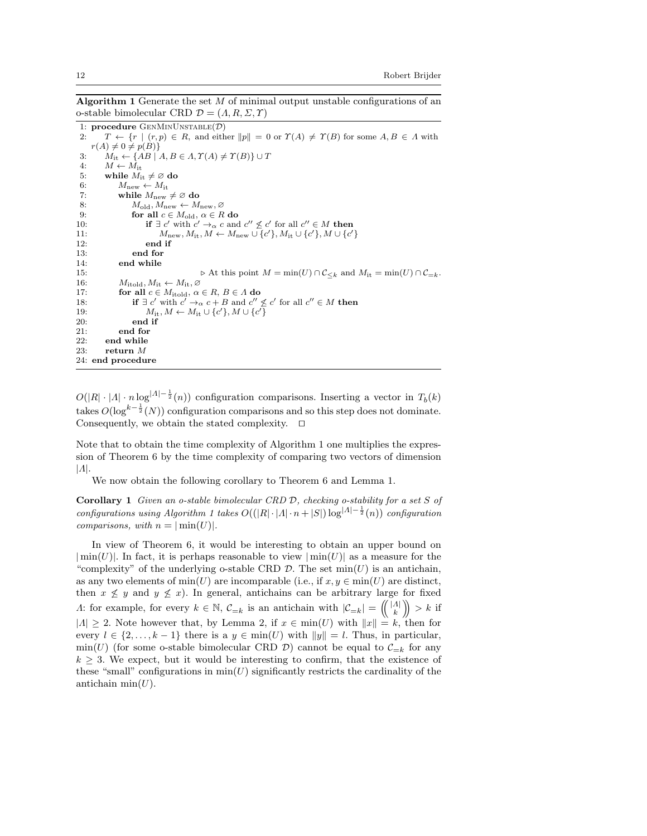Algorithm 1 Generate the set  $M$  of minimal output unstable configurations of an o-stable bimolecular CRD  $\mathcal{D} = (\Lambda, R, \Sigma, \Upsilon)$ 

```
1: procedure GENMINUNSTABLE(D)2: T \leftarrow \{r \mid (r, p) \in R, \text{ and either } ||p|| = 0 \text{ or } \Upsilon(A) \neq \Upsilon(B) \text{ for some } A, B \in \Lambda \text{ with } \Omega(A) \neq \Upsilon(B) \text{ for some } A \in \Lambda \text{ with } \Omega(A) \neq \Upsilon(B) \text{ for some } A \in \Lambda \text{ with } \Omega(A) \neq \Upsilon(B) \text{ for some } A \in \Lambda \text{ with } \Omega(A) \neq \Upsilon(B) \text{ for some } A \in \Lambda \text{ with } \Omega(A) \neq \Upsilon(B) \text{ for some } A \in \Lambda \text{ with } \Omega(A) \neq \Upsilon(Br(A) \neq 0 \neq p(B)3: M_{\text{it}} \leftarrow \{AB \mid A, B \in \Lambda, \Upsilon(A) \neq \Upsilon(B)\} \cup T<br>4: M \leftarrow M_{\text{it}}4: M \leftarrow M_{\text{it}}<br>5: while M_{\text{i}}while M_{\text{it}} \neq \emptyset do
  6: M_{\text{new}} \leftarrow M_{\text{it}}<br>7: while M_{\text{new}}while M_{\text{new}} \neq \emptyset do
  8: M_{\text{old}}, M_{\text{new}} \leftarrow M_{\text{new}}, \varnothing<br>9: for all c \in M_{\text{old}}, \alpha \in R9: for all c \in M_{old}, \alpha \in R do if \exists c' with c' \rightarrow_{\alpha} c and
10: if \exists c' with c' \rightarrow_{\alpha} c and c'' \not\leq c' for all c'' \in M then
11: M_{\text{new}}, M_{\text{it}}, M \leftarrow M_{\text{new}} \cup \{c'\}, M_{\text{it}} \cup \{c'\}, M \cup \{c'\}12: end if
13: end for
14: end while
15: \triangleright At this point M = \min(U) \cap C_{\leq k} and M_{it} = \min(U) \cap C_{=k}.
16: M_{\text{itold}}, M_{\text{it}} \leftarrow M_{\text{it}}, \varnothing<br>17: for all c \in M_{\text{itold}}, \alphafor all c \in M_{\text{itold}}, \, \alpha \in R, \, B \in \varLambdado
18: if \exists c' with c' \rightarrow_{\alpha} c + B and c'' \not\leq c' for all c'' \in M then
19: M_{\rm it}, M \leftarrow M_{\rm it} \cup \{c'\}, M \cup \{c'\}20: end if
21: \qquad \qquad \text{end for}<br>22: \qquad \qquad \text{end while}end while
23: return M
24: end procedure
```
 $O(|R|\cdot|A|\cdot n\log^{|A|-\frac{1}{2}}(n))$  configuration comparisons. Inserting a vector in  $T_b(k)$ takes  $O(\log^{k-\frac{1}{2}}(N))$  configuration comparisons and so this step does not dominate. Consequently, we obtain the stated complexity.  $\Box$ 

Note that to obtain the time complexity of Algorithm 1 one multiplies the expression of Theorem 6 by the time complexity of comparing two vectors of dimension  $|A|$ .

We now obtain the following corollary to Theorem 6 and Lemma 1.

Corollary 1 Given an o-stable bimolecular CRD D, checking o-stability for a set S of configurations using Algorithm 1 takes  $O((|R|\cdot|A|\cdot n+|S|)\log^{|A|-\frac{1}{2}}(n))$  configuration comparisons, with  $n = |min(U)|$ .

In view of Theorem 6, it would be interesting to obtain an upper bound on  $|\min(U)|$ . In fact, it is perhaps reasonable to view  $|\min(U)|$  as a measure for the "complexity" of the underlying o-stable CRD  $\mathcal{D}$ . The set min(U) is an antichain, as any two elements of  $min(U)$  are incomparable (i.e., if  $x, y \in min(U)$  are distinct, then  $x \not\leq y$  and  $y \not\leq x$ ). In general, antichains can be arbitrary large for fixed A: for example, for every  $k \in \mathbb{N}$ ,  $\mathcal{C}_{=k}$  is an antichain with  $|\mathcal{C}_{=k}| = \left(\begin{pmatrix} |A| \\ k \end{pmatrix}\right) > k$  if  $|A| \geq 2$ . Note however that, by Lemma 2, if  $x \in min(U)$  with  $||x|| \stackrel{\sim}{=} k$ , then for every  $l \in \{2, \ldots, k-1\}$  there is a  $y \in \min(U)$  with  $||y|| = l$ . Thus, in particular,  $min(U)$  (for some o-stable bimolecular CRD D) cannot be equal to  $\mathcal{C}_{=k}$  for any  $k \geq 3$ . We expect, but it would be interesting to confirm, that the existence of these "small" configurations in  $\min(U)$  significantly restricts the cardinality of the antichain  $\min(U)$ .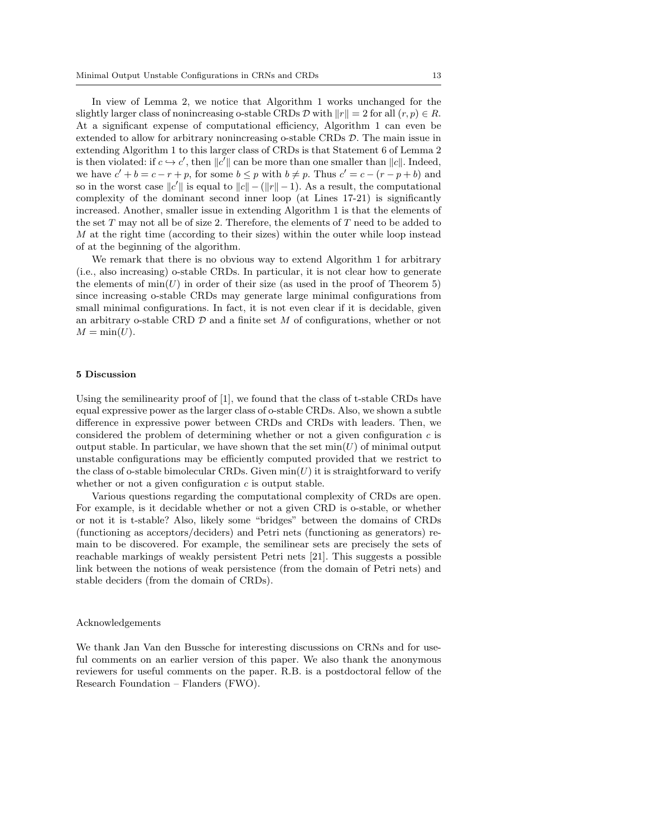In view of Lemma 2, we notice that Algorithm 1 works unchanged for the slightly larger class of nonincreasing o-stable CRDs  $\mathcal{D}$  with  $||r|| = 2$  for all  $(r, p) \in R$ . At a significant expense of computational efficiency, Algorithm 1 can even be extended to allow for arbitrary nonincreasing o-stable CRDs D. The main issue in extending Algorithm 1 to this larger class of CRDs is that Statement 6 of Lemma 2 is then violated: if  $c \leftrightarrow c'$ , then  $||c'||$  can be more than one smaller than  $||c||$ . Indeed, we have  $c' + b = c - r + p$ , for some  $b \leq p$  with  $b \neq p$ . Thus  $c' = c - (r - p + b)$  and so in the worst case  $||c'||$  is equal to  $||c|| - (||r|| - 1)$ . As a result, the computational complexity of the dominant second inner loop (at Lines 17-21) is significantly increased. Another, smaller issue in extending Algorithm 1 is that the elements of the set  $T$  may not all be of size 2. Therefore, the elements of  $T$  need to be added to M at the right time (according to their sizes) within the outer while loop instead of at the beginning of the algorithm.

We remark that there is no obvious way to extend Algorithm 1 for arbitrary (i.e., also increasing) o-stable CRDs. In particular, it is not clear how to generate the elements of  $min(U)$  in order of their size (as used in the proof of Theorem 5) since increasing o-stable CRDs may generate large minimal configurations from small minimal configurations. In fact, it is not even clear if it is decidable, given an arbitrary o-stable CRD  $D$  and a finite set  $M$  of configurations, whether or not  $M = min(U).$ 

# 5 Discussion

Using the semilinearity proof of [1], we found that the class of t-stable CRDs have equal expressive power as the larger class of o-stable CRDs. Also, we shown a subtle difference in expressive power between CRDs and CRDs with leaders. Then, we considered the problem of determining whether or not a given configuration  $c$  is output stable. In particular, we have shown that the set  $\min(U)$  of minimal output unstable configurations may be efficiently computed provided that we restrict to the class of o-stable bimolecular CRDs. Given  $\min(U)$  it is straightforward to verify whether or not a given configuration  $c$  is output stable.

Various questions regarding the computational complexity of CRDs are open. For example, is it decidable whether or not a given CRD is o-stable, or whether or not it is t-stable? Also, likely some "bridges" between the domains of CRDs (functioning as acceptors/deciders) and Petri nets (functioning as generators) remain to be discovered. For example, the semilinear sets are precisely the sets of reachable markings of weakly persistent Petri nets [21]. This suggests a possible link between the notions of weak persistence (from the domain of Petri nets) and stable deciders (from the domain of CRDs).

#### Acknowledgements

We thank Jan Van den Bussche for interesting discussions on CRNs and for useful comments on an earlier version of this paper. We also thank the anonymous reviewers for useful comments on the paper. R.B. is a postdoctoral fellow of the Research Foundation – Flanders (FWO).